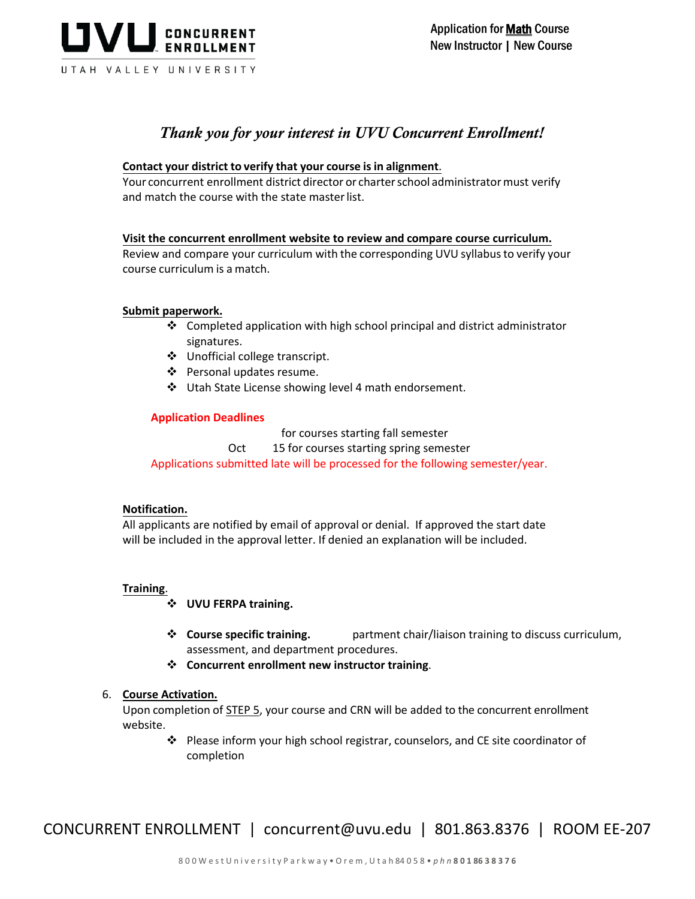

# *Thank you for your interest in UVU Concurrent Enrollment!*

- 1. **Contact your district to verify that your course is in alignment**. Your concurrent enrollment district director or charter school administrator must verify and match the course with the state master list.
- 2. **Visit the concurrent enrollment website to review and compare course curriculum.** Review and compare your curriculum with the corresponding UVU syllabus to verify your course curriculum is a match.

### 3. **Submit paperwork.**

- $\cdot$  Completed application with high school principal and district administrator signatures.
- Unofficial college transcript.
- ❖ Personal updates resume.
- Utah State License showing level 4 math endorsement.

### **Application Deadlines**

July 1 for courses starting fall semester October 15 for courses starting spring semester Applications submitted late will be processed for the following semester/year.

### 4. **Notification.**

All applicants are notified by email of approval or denial. If approved the start date will be included in the approval letter. If denied an explanation will be included.

### 5. **Training**.

- **UVU FERPA training.** Training in accordance with the Family Educational Rights and Privacy Act (FERPA).
- **Course specific training.** UVU department chair/liaison training to discuss curriculum, assessment, and department procedures.
- **Concurrent enrollment new instructor training**. Training to review Concurrent Enrollment policies and procedures.

### 6. **Course Activation.**

Upon completion of STEP 5, your course and CRN will be added to the concurrent enrollment website.

 Please inform your high school registrar, counselors, and CE site coordinator of completion

CONCURRENT ENROLLMENT | concurrent@uvu.edu | 801.863.8376 | ROOM EE-207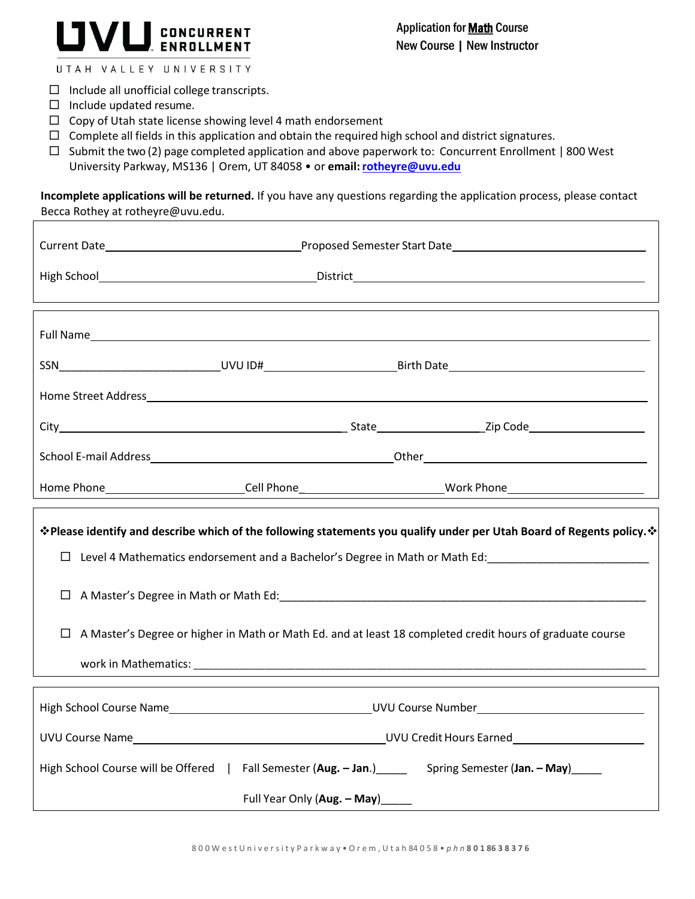# CONCURRENT<br>ENROLLMENT

UTAH VALLEY UNIVERSITY

- $\Box$  Include all unofficial college transcripts.
- $\Box$  Include updated resume.
- $\Box$  Copy of Utah state license showing level 4 math endorsement
- $\Box$  Complete all fields in this application and obtain the required high school and district signatures.
- $\Box$  Submit the two (2) page completed application and above paperwork to: Concurrent Enrollment | 800 West University Parkway, MS136 | Orem, UT 84058 · or email: **rotheyre@uvu.edu**

**Incomplete applications will be returned.** If you have any questions regarding the application process, please contact Becca Rothey at [rotheyre@uvu.edu.](mailto:rotheyre@uvu.edu)

| *Please identify and describe which of the following statements you qualify under per Utah Board of Regents policy. *<br>□ Level 4 Mathematics endorsement and a Bachelor's Degree in Math or Math Ed:<br>□ Level 4 Mathematics endorsement and a Bachelor's Degree in Math or Math Ed: |
|-----------------------------------------------------------------------------------------------------------------------------------------------------------------------------------------------------------------------------------------------------------------------------------------|
|                                                                                                                                                                                                                                                                                         |
| □ A Master's Degree or higher in Math or Math Ed. and at least 18 completed credit hours of graduate course                                                                                                                                                                             |
|                                                                                                                                                                                                                                                                                         |
|                                                                                                                                                                                                                                                                                         |
| High School Course will be Offered   Fall Semester (Aug. - Jan.) ______ Spring Semester (Jan. - May) _____                                                                                                                                                                              |
| Full Year Only (Aug. - May)_____                                                                                                                                                                                                                                                        |